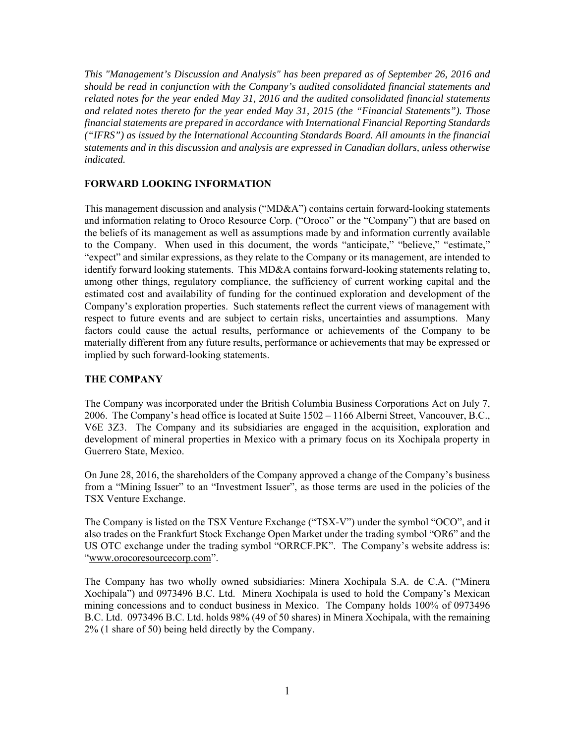*This "Management's Discussion and Analysis" has been prepared as of September 26, 2016 and should be read in conjunction with the Company's audited consolidated financial statements and related notes for the year ended May 31, 2016 and the audited consolidated financial statements and related notes thereto for the year ended May 31, 2015 (the "Financial Statements"). Those financial statements are prepared in accordance with International Financial Reporting Standards ("IFRS") as issued by the International Accounting Standards Board. All amounts in the financial statements and in this discussion and analysis are expressed in Canadian dollars, unless otherwise indicated.* 

### **FORWARD LOOKING INFORMATION**

This management discussion and analysis ("MD&A") contains certain forward-looking statements and information relating to Oroco Resource Corp. ("Oroco" or the "Company") that are based on the beliefs of its management as well as assumptions made by and information currently available to the Company. When used in this document, the words "anticipate," "believe," "estimate," "expect" and similar expressions, as they relate to the Company or its management, are intended to identify forward looking statements. This MD&A contains forward-looking statements relating to, among other things, regulatory compliance, the sufficiency of current working capital and the estimated cost and availability of funding for the continued exploration and development of the Company's exploration properties. Such statements reflect the current views of management with respect to future events and are subject to certain risks, uncertainties and assumptions. Many factors could cause the actual results, performance or achievements of the Company to be materially different from any future results, performance or achievements that may be expressed or implied by such forward-looking statements.

### **THE COMPANY**

The Company was incorporated under the British Columbia Business Corporations Act on July 7, 2006. The Company's head office is located at Suite 1502 – 1166 Alberni Street, Vancouver, B.C., V6E 3Z3. The Company and its subsidiaries are engaged in the acquisition, exploration and development of mineral properties in Mexico with a primary focus on its Xochipala property in Guerrero State, Mexico.

On June 28, 2016, the shareholders of the Company approved a change of the Company's business from a "Mining Issuer" to an "Investment Issuer", as those terms are used in the policies of the TSX Venture Exchange.

The Company is listed on the TSX Venture Exchange ("TSX-V") under the symbol "OCO", and it also trades on the Frankfurt Stock Exchange Open Market under the trading symbol "OR6" and the US OTC exchange under the trading symbol "ORRCF.PK". The Company's website address is: "www.orocoresourcecorp.com".

The Company has two wholly owned subsidiaries: Minera Xochipala S.A. de C.A. ("Minera Xochipala") and 0973496 B.C. Ltd. Minera Xochipala is used to hold the Company's Mexican mining concessions and to conduct business in Mexico. The Company holds 100% of 0973496 B.C. Ltd. 0973496 B.C. Ltd. holds 98% (49 of 50 shares) in Minera Xochipala, with the remaining 2% (1 share of 50) being held directly by the Company.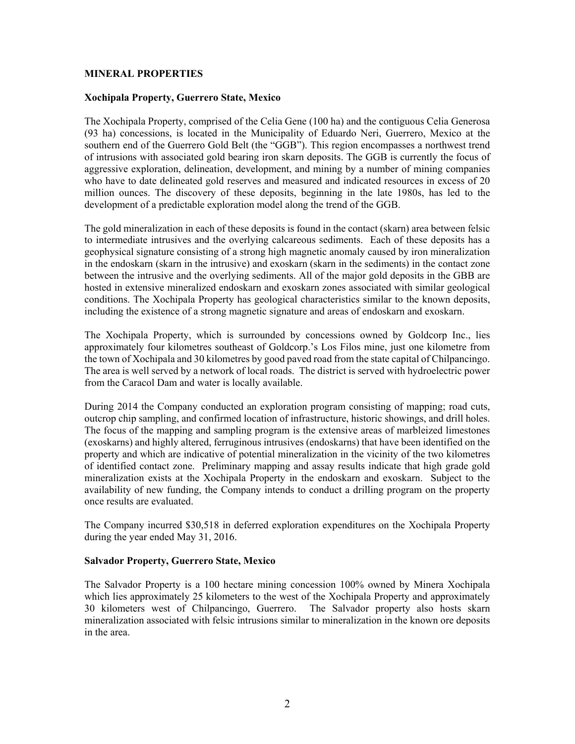### **MINERAL PROPERTIES**

#### **Xochipala Property, Guerrero State, Mexico**

The Xochipala Property, comprised of the Celia Gene (100 ha) and the contiguous Celia Generosa (93 ha) concessions, is located in the Municipality of Eduardo Neri, Guerrero, Mexico at the southern end of the Guerrero Gold Belt (the "GGB"). This region encompasses a northwest trend of intrusions with associated gold bearing iron skarn deposits. The GGB is currently the focus of aggressive exploration, delineation, development, and mining by a number of mining companies who have to date delineated gold reserves and measured and indicated resources in excess of 20 million ounces. The discovery of these deposits, beginning in the late 1980s, has led to the development of a predictable exploration model along the trend of the GGB.

The gold mineralization in each of these deposits is found in the contact (skarn) area between felsic to intermediate intrusives and the overlying calcareous sediments. Each of these deposits has a geophysical signature consisting of a strong high magnetic anomaly caused by iron mineralization in the endoskarn (skarn in the intrusive) and exoskarn (skarn in the sediments) in the contact zone between the intrusive and the overlying sediments. All of the major gold deposits in the GBB are hosted in extensive mineralized endoskarn and exoskarn zones associated with similar geological conditions. The Xochipala Property has geological characteristics similar to the known deposits, including the existence of a strong magnetic signature and areas of endoskarn and exoskarn.

The Xochipala Property, which is surrounded by concessions owned by Goldcorp Inc., lies approximately four kilometres southeast of Goldcorp.'s Los Filos mine, just one kilometre from the town of Xochipala and 30 kilometres by good paved road from the state capital of Chilpancingo. The area is well served by a network of local roads. The district is served with hydroelectric power from the Caracol Dam and water is locally available.

During 2014 the Company conducted an exploration program consisting of mapping; road cuts, outcrop chip sampling, and confirmed location of infrastructure, historic showings, and drill holes. The focus of the mapping and sampling program is the extensive areas of marbleized limestones (exoskarns) and highly altered, ferruginous intrusives (endoskarns) that have been identified on the property and which are indicative of potential mineralization in the vicinity of the two kilometres of identified contact zone. Preliminary mapping and assay results indicate that high grade gold mineralization exists at the Xochipala Property in the endoskarn and exoskarn. Subject to the availability of new funding, the Company intends to conduct a drilling program on the property once results are evaluated.

The Company incurred \$30,518 in deferred exploration expenditures on the Xochipala Property during the year ended May 31, 2016.

#### **Salvador Property, Guerrero State, Mexico**

The Salvador Property is a 100 hectare mining concession 100% owned by Minera Xochipala which lies approximately 25 kilometers to the west of the Xochipala Property and approximately 30 kilometers west of Chilpancingo, Guerrero. The Salvador property also hosts skarn mineralization associated with felsic intrusions similar to mineralization in the known ore deposits in the area.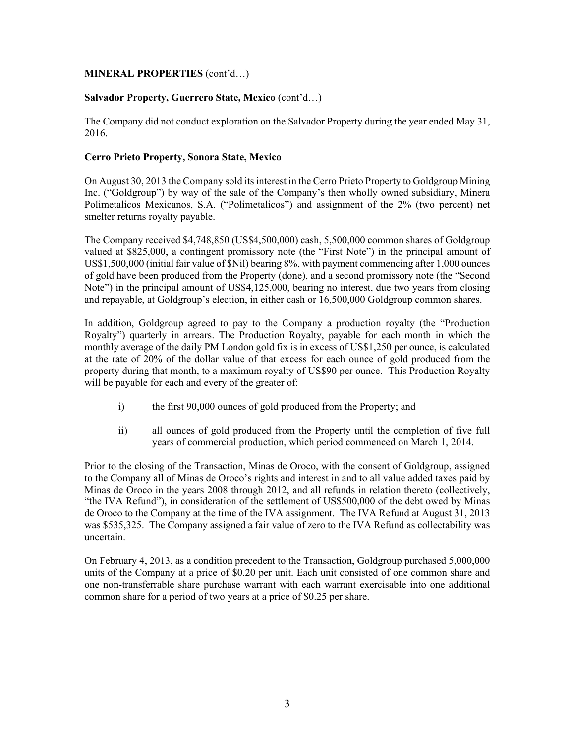## **MINERAL PROPERTIES** (cont'd…)

## **Salvador Property, Guerrero State, Mexico** (cont'd…)

The Company did not conduct exploration on the Salvador Property during the year ended May 31, 2016.

## **Cerro Prieto Property, Sonora State, Mexico**

On August 30, 2013 the Company sold its interest in the Cerro Prieto Property to Goldgroup Mining Inc. ("Goldgroup") by way of the sale of the Company's then wholly owned subsidiary, Minera Polimetalicos Mexicanos, S.A. ("Polimetalicos") and assignment of the 2% (two percent) net smelter returns royalty payable.

The Company received \$4,748,850 (US\$4,500,000) cash, 5,500,000 common shares of Goldgroup valued at \$825,000, a contingent promissory note (the "First Note") in the principal amount of US\$1,500,000 (initial fair value of \$Nil) bearing 8%, with payment commencing after 1,000 ounces of gold have been produced from the Property (done), and a second promissory note (the "Second Note") in the principal amount of US\$4,125,000, bearing no interest, due two years from closing and repayable, at Goldgroup's election, in either cash or 16,500,000 Goldgroup common shares.

In addition, Goldgroup agreed to pay to the Company a production royalty (the "Production Royalty") quarterly in arrears. The Production Royalty, payable for each month in which the monthly average of the daily PM London gold fix is in excess of US\$1,250 per ounce, is calculated at the rate of 20% of the dollar value of that excess for each ounce of gold produced from the property during that month, to a maximum royalty of US\$90 per ounce. This Production Royalty will be payable for each and every of the greater of:

- i) the first 90,000 ounces of gold produced from the Property; and
- ii) all ounces of gold produced from the Property until the completion of five full years of commercial production, which period commenced on March 1, 2014.

Prior to the closing of the Transaction, Minas de Oroco, with the consent of Goldgroup, assigned to the Company all of Minas de Oroco's rights and interest in and to all value added taxes paid by Minas de Oroco in the years 2008 through 2012, and all refunds in relation thereto (collectively, "the IVA Refund"), in consideration of the settlement of US\$500,000 of the debt owed by Minas de Oroco to the Company at the time of the IVA assignment. The IVA Refund at August 31, 2013 was \$535,325. The Company assigned a fair value of zero to the IVA Refund as collectability was uncertain.

On February 4, 2013, as a condition precedent to the Transaction, Goldgroup purchased 5,000,000 units of the Company at a price of \$0.20 per unit. Each unit consisted of one common share and one non-transferrable share purchase warrant with each warrant exercisable into one additional common share for a period of two years at a price of \$0.25 per share.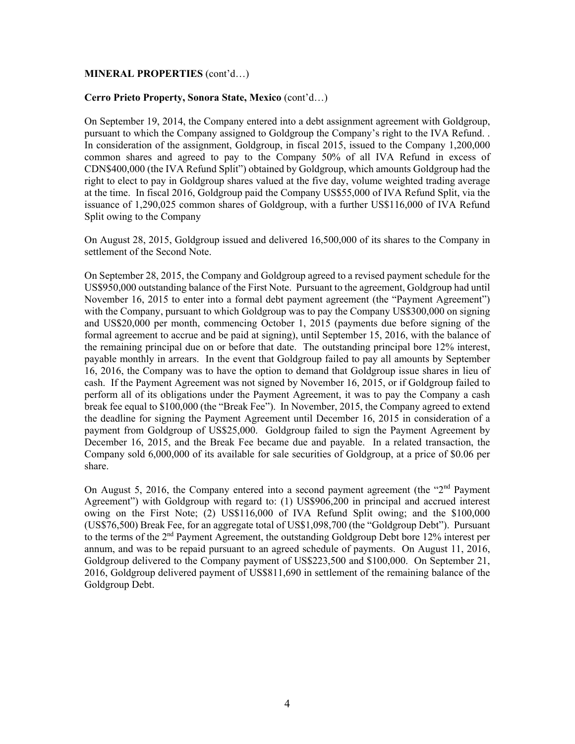#### **MINERAL PROPERTIES** (cont'd…)

#### **Cerro Prieto Property, Sonora State, Mexico** (cont'd…)

On September 19, 2014, the Company entered into a debt assignment agreement with Goldgroup, pursuant to which the Company assigned to Goldgroup the Company's right to the IVA Refund. . In consideration of the assignment, Goldgroup, in fiscal 2015, issued to the Company 1,200,000 common shares and agreed to pay to the Company 50% of all IVA Refund in excess of CDN\$400,000 (the IVA Refund Split") obtained by Goldgroup, which amounts Goldgroup had the right to elect to pay in Goldgroup shares valued at the five day, volume weighted trading average at the time. In fiscal 2016, Goldgroup paid the Company US\$55,000 of IVA Refund Split, via the issuance of 1,290,025 common shares of Goldgroup, with a further US\$116,000 of IVA Refund Split owing to the Company

On August 28, 2015, Goldgroup issued and delivered 16,500,000 of its shares to the Company in settlement of the Second Note.

On September 28, 2015, the Company and Goldgroup agreed to a revised payment schedule for the US\$950,000 outstanding balance of the First Note. Pursuant to the agreement, Goldgroup had until November 16, 2015 to enter into a formal debt payment agreement (the "Payment Agreement") with the Company, pursuant to which Goldgroup was to pay the Company US\$300,000 on signing and US\$20,000 per month, commencing October 1, 2015 (payments due before signing of the formal agreement to accrue and be paid at signing), until September 15, 2016, with the balance of the remaining principal due on or before that date. The outstanding principal bore 12% interest, payable monthly in arrears. In the event that Goldgroup failed to pay all amounts by September 16, 2016, the Company was to have the option to demand that Goldgroup issue shares in lieu of cash. If the Payment Agreement was not signed by November 16, 2015, or if Goldgroup failed to perform all of its obligations under the Payment Agreement, it was to pay the Company a cash break fee equal to \$100,000 (the "Break Fee"). In November, 2015, the Company agreed to extend the deadline for signing the Payment Agreement until December 16, 2015 in consideration of a payment from Goldgroup of US\$25,000. Goldgroup failed to sign the Payment Agreement by December 16, 2015, and the Break Fee became due and payable. In a related transaction, the Company sold 6,000,000 of its available for sale securities of Goldgroup, at a price of \$0.06 per share.

On August 5, 2016, the Company entered into a second payment agreement (the " $2<sup>nd</sup>$  Payment") Agreement") with Goldgroup with regard to: (1) US\$906,200 in principal and accrued interest owing on the First Note; (2) US\$116,000 of IVA Refund Split owing; and the \$100,000 (US\$76,500) Break Fee, for an aggregate total of US\$1,098,700 (the "Goldgroup Debt"). Pursuant to the terms of the  $2<sup>nd</sup>$  Payment Agreement, the outstanding Goldgroup Debt bore 12% interest per annum, and was to be repaid pursuant to an agreed schedule of payments. On August 11, 2016, Goldgroup delivered to the Company payment of US\$223,500 and \$100,000. On September 21, 2016, Goldgroup delivered payment of US\$811,690 in settlement of the remaining balance of the Goldgroup Debt.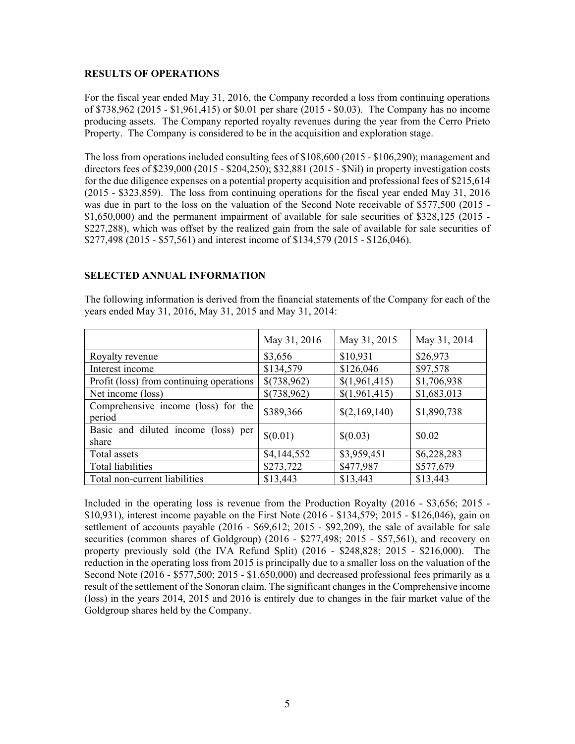#### **RESULTS OF OPERATIONS**

For the fiscal year ended May 31, 2016, the Company recorded a loss from continuing operations of \$738,962 (2015 - \$1,961,415) or \$0.01 per share (2015 - \$0.03). The Company has no income producing assets. The Company reported royalty revenues during the year from the Cerro Prieto Property. The Company is considered to be in the acquisition and exploration stage.

The loss from operations included consulting fees of \$108,600 (2015 - \$106,290); management and directors fees of \$239,000 (2015 - \$204,250); \$32,881 (2015 - \$Nil) in property investigation costs for the due diligence expenses on a potential property acquisition and professional fees of \$215,614 (2015 - \$323,859). The loss from continuing operations for the fiscal year ended May 31, 2016 was due in part to the loss on the valuation of the Second Note receivable of \$577,500 (2015 -\$1,650,000) and the permanent impairment of available for sale securities of \$328,125 (2015 -\$227,288), which was offset by the realized gain from the sale of available for sale securities of \$277,498 (2015 - \$57,561) and interest income of \$134,579 (2015 - \$126,046).

## **SELECTED ANNUAL INFORMATION**

|                                               | May 31, 2016 | May 31, 2015  | May 31, 2014 |
|-----------------------------------------------|--------------|---------------|--------------|
| Royalty revenue                               | \$3,656      | \$10,931      | \$26,973     |
| Interest income                               | \$134,579    | \$126,046     | \$97,578     |
| Profit (loss) from continuing operations      | \$(738,962)  | \$(1,961,415) | \$1,706,938  |
| Net income (loss)                             | \$(738,962)  | \$(1,961,415) | \$1,683,013  |
| Comprehensive income (loss) for the<br>period | \$389,366    | \$(2,169,140) | \$1,890,738  |
| Basic and diluted income (loss) per<br>share  | \$(0.01)     | \$(0.03)      | \$0.02       |
| Total assets                                  | \$4,144,552  | \$3,959,451   | \$6,228,283  |
| <b>Total liabilities</b>                      | \$273,722    | \$477,987     | \$577,679    |
| Total non-current liabilities                 | \$13,443     | \$13,443      | \$13,443     |

The following information is derived from the financial statements of the Company for each of the years ended May 31, 2016, May 31, 2015 and May 31, 2014:

Included in the operating loss is revenue from the Production Royalty (2016 - \$3,656; 2015 - \$10,931), interest income payable on the First Note (2016 - \$134,579; 2015 - \$126,046), gain on settlement of accounts payable (2016 - \$69,612; 2015 - \$92,209), the sale of available for sale securities (common shares of Goldgroup) (2016 - \$277,498; 2015 - \$57,561), and recovery on property previously sold (the IVA Refund Split) (2016 - \$248,828; 2015 - \$216,000). The reduction in the operating loss from 2015 is principally due to a smaller loss on the valuation of the Second Note (2016 - \$577,500; 2015 - \$1,650,000) and decreased professional fees primarily as a result of the settlement of the Sonoran claim. The significant changes in the Comprehensive income (loss) in the years 2014, 2015 and 2016 is entirely due to changes in the fair market value of the Goldgroup shares held by the Company.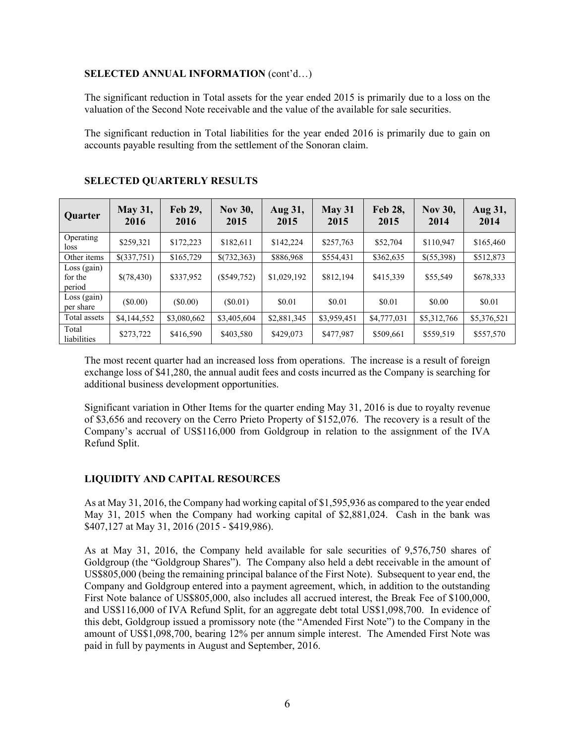### **SELECTED ANNUAL INFORMATION** (cont'd…)

The significant reduction in Total assets for the year ended 2015 is primarily due to a loss on the valuation of the Second Note receivable and the value of the available for sale securities.

The significant reduction in Total liabilities for the year ended 2016 is primarily due to gain on accounts payable resulting from the settlement of the Sonoran claim.

| Quarter                            | <b>May 31,</b><br>2016 | <b>Feb 29,</b><br>2016 | <b>Nov 30,</b><br>2015 | Aug 31,<br>2015 | May 31<br>2015 | Feb 28,<br>2015 | <b>Nov 30,</b><br>2014 | Aug 31,<br>2014 |
|------------------------------------|------------------------|------------------------|------------------------|-----------------|----------------|-----------------|------------------------|-----------------|
| Operating<br>loss.                 | \$259,321              | \$172,223              | \$182,611              | \$142,224       | \$257,763      | \$52,704        | \$110,947              | \$165,460       |
| Other items                        | $$$ (337,751)          | \$165,729              | \$(732,363)            | \$886,968       | \$554,431      | \$362,635       | \$(55,398)             | \$512,873       |
| $Loss$ (gain)<br>for the<br>period | \$(78,430)             | \$337,952              | $(\$549,752)$          | \$1,029,192     | \$812,194      | \$415,339       | \$55,549               | \$678,333       |
| Loss (gain)<br>per share           | $(\$0.00)$             | $(\$0.00)$             | $(\$0.01)$             | \$0.01          | \$0.01         | \$0.01          | \$0.00                 | \$0.01          |
| Total assets                       | \$4,144,552            | \$3,080,662            | \$3,405,604            | \$2,881,345     | \$3,959,451    | \$4,777,031     | \$5,312,766            | \$5,376,521     |
| Total<br>liabilities               | \$273,722              | \$416,590              | \$403,580              | \$429,073       | \$477,987      | \$509,661       | \$559,519              | \$557,570       |

### **SELECTED QUARTERLY RESULTS**

The most recent quarter had an increased loss from operations. The increase is a result of foreign exchange loss of \$41,280, the annual audit fees and costs incurred as the Company is searching for additional business development opportunities.

Significant variation in Other Items for the quarter ending May 31, 2016 is due to royalty revenue of \$3,656 and recovery on the Cerro Prieto Property of \$152,076. The recovery is a result of the Company's accrual of US\$116,000 from Goldgroup in relation to the assignment of the IVA Refund Split.

### **LIQUIDITY AND CAPITAL RESOURCES**

As at May 31, 2016, the Company had working capital of \$1,595,936 as compared to the year ended May 31, 2015 when the Company had working capital of \$2,881,024. Cash in the bank was \$407,127 at May 31, 2016 (2015 - \$419,986).

As at May 31, 2016, the Company held available for sale securities of 9,576,750 shares of Goldgroup (the "Goldgroup Shares"). The Company also held a debt receivable in the amount of US\$805,000 (being the remaining principal balance of the First Note). Subsequent to year end, the Company and Goldgroup entered into a payment agreement, which, in addition to the outstanding First Note balance of US\$805,000, also includes all accrued interest, the Break Fee of \$100,000, and US\$116,000 of IVA Refund Split, for an aggregate debt total US\$1,098,700. In evidence of this debt, Goldgroup issued a promissory note (the "Amended First Note") to the Company in the amount of US\$1,098,700, bearing 12% per annum simple interest. The Amended First Note was paid in full by payments in August and September, 2016.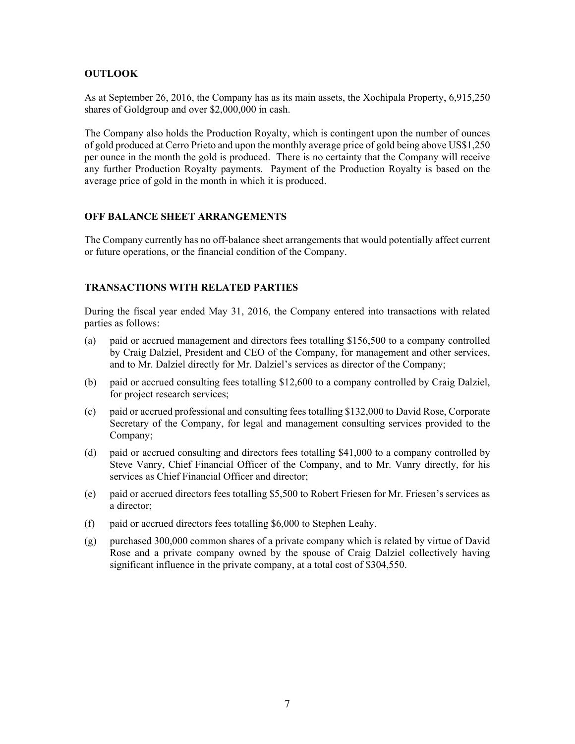## **OUTLOOK**

As at September 26, 2016, the Company has as its main assets, the Xochipala Property, 6,915,250 shares of Goldgroup and over \$2,000,000 in cash.

The Company also holds the Production Royalty, which is contingent upon the number of ounces of gold produced at Cerro Prieto and upon the monthly average price of gold being above US\$1,250 per ounce in the month the gold is produced. There is no certainty that the Company will receive any further Production Royalty payments. Payment of the Production Royalty is based on the average price of gold in the month in which it is produced.

## **OFF BALANCE SHEET ARRANGEMENTS**

The Company currently has no off-balance sheet arrangements that would potentially affect current or future operations, or the financial condition of the Company.

## **TRANSACTIONS WITH RELATED PARTIES**

During the fiscal year ended May 31, 2016, the Company entered into transactions with related parties as follows:

- (a) paid or accrued management and directors fees totalling \$156,500 to a company controlled by Craig Dalziel, President and CEO of the Company, for management and other services, and to Mr. Dalziel directly for Mr. Dalziel's services as director of the Company;
- (b) paid or accrued consulting fees totalling \$12,600 to a company controlled by Craig Dalziel, for project research services;
- (c) paid or accrued professional and consulting fees totalling \$132,000 to David Rose, Corporate Secretary of the Company, for legal and management consulting services provided to the Company;
- (d) paid or accrued consulting and directors fees totalling \$41,000 to a company controlled by Steve Vanry, Chief Financial Officer of the Company, and to Mr. Vanry directly, for his services as Chief Financial Officer and director;
- (e) paid or accrued directors fees totalling \$5,500 to Robert Friesen for Mr. Friesen's services as a director;
- (f) paid or accrued directors fees totalling \$6,000 to Stephen Leahy.
- (g) purchased 300,000 common shares of a private company which is related by virtue of David Rose and a private company owned by the spouse of Craig Dalziel collectively having significant influence in the private company, at a total cost of \$304,550.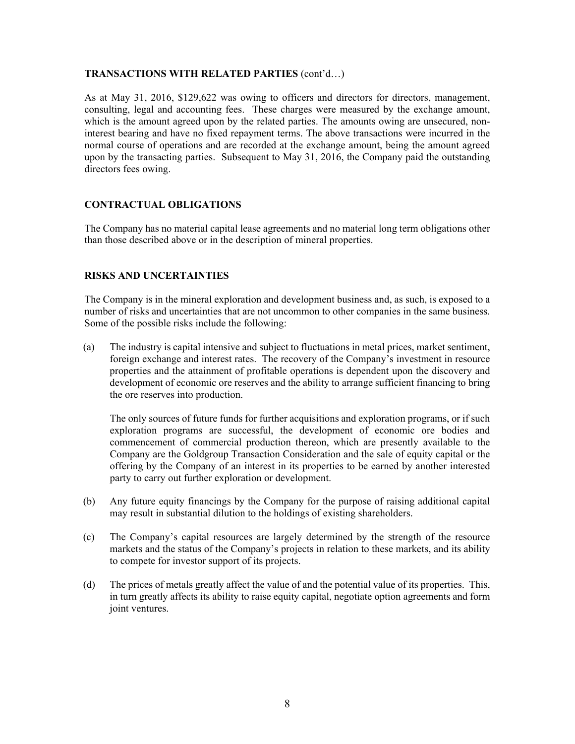### **TRANSACTIONS WITH RELATED PARTIES** (cont'd…)

As at May 31, 2016, \$129,622 was owing to officers and directors for directors, management, consulting, legal and accounting fees. These charges were measured by the exchange amount, which is the amount agreed upon by the related parties. The amounts owing are unsecured, noninterest bearing and have no fixed repayment terms. The above transactions were incurred in the normal course of operations and are recorded at the exchange amount, being the amount agreed upon by the transacting parties. Subsequent to May 31, 2016, the Company paid the outstanding directors fees owing.

### **CONTRACTUAL OBLIGATIONS**

The Company has no material capital lease agreements and no material long term obligations other than those described above or in the description of mineral properties.

## **RISKS AND UNCERTAINTIES**

The Company is in the mineral exploration and development business and, as such, is exposed to a number of risks and uncertainties that are not uncommon to other companies in the same business. Some of the possible risks include the following:

(a) The industry is capital intensive and subject to fluctuations in metal prices, market sentiment, foreign exchange and interest rates. The recovery of the Company's investment in resource properties and the attainment of profitable operations is dependent upon the discovery and development of economic ore reserves and the ability to arrange sufficient financing to bring the ore reserves into production.

The only sources of future funds for further acquisitions and exploration programs, or if such exploration programs are successful, the development of economic ore bodies and commencement of commercial production thereon, which are presently available to the Company are the Goldgroup Transaction Consideration and the sale of equity capital or the offering by the Company of an interest in its properties to be earned by another interested party to carry out further exploration or development.

- (b) Any future equity financings by the Company for the purpose of raising additional capital may result in substantial dilution to the holdings of existing shareholders.
- (c) The Company's capital resources are largely determined by the strength of the resource markets and the status of the Company's projects in relation to these markets, and its ability to compete for investor support of its projects.
- (d) The prices of metals greatly affect the value of and the potential value of its properties. This, in turn greatly affects its ability to raise equity capital, negotiate option agreements and form joint ventures.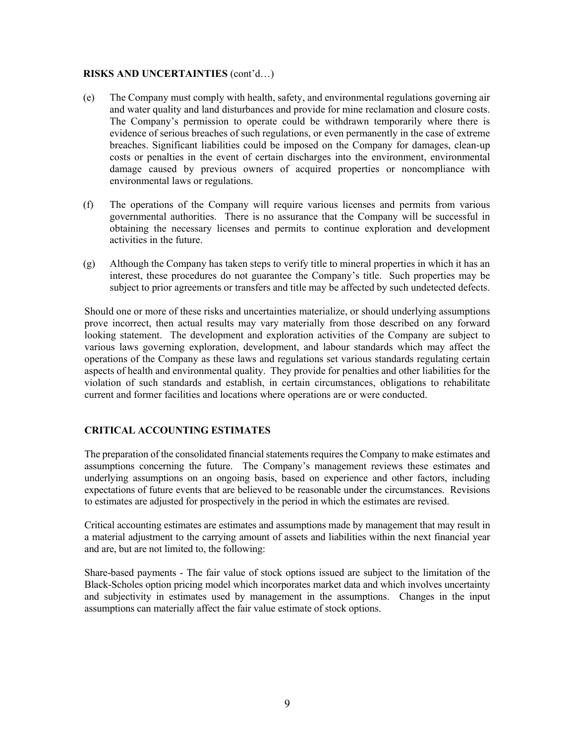#### **RISKS AND UNCERTAINTIES** (cont'd…)

- (e) The Company must comply with health, safety, and environmental regulations governing air and water quality and land disturbances and provide for mine reclamation and closure costs. The Company's permission to operate could be withdrawn temporarily where there is evidence of serious breaches of such regulations, or even permanently in the case of extreme breaches. Significant liabilities could be imposed on the Company for damages, clean-up costs or penalties in the event of certain discharges into the environment, environmental damage caused by previous owners of acquired properties or noncompliance with environmental laws or regulations.
- (f) The operations of the Company will require various licenses and permits from various governmental authorities. There is no assurance that the Company will be successful in obtaining the necessary licenses and permits to continue exploration and development activities in the future.
- (g) Although the Company has taken steps to verify title to mineral properties in which it has an interest, these procedures do not guarantee the Company's title. Such properties may be subject to prior agreements or transfers and title may be affected by such undetected defects.

Should one or more of these risks and uncertainties materialize, or should underlying assumptions prove incorrect, then actual results may vary materially from those described on any forward looking statement. The development and exploration activities of the Company are subject to various laws governing exploration, development, and labour standards which may affect the operations of the Company as these laws and regulations set various standards regulating certain aspects of health and environmental quality. They provide for penalties and other liabilities for the violation of such standards and establish, in certain circumstances, obligations to rehabilitate current and former facilities and locations where operations are or were conducted.

## **CRITICAL ACCOUNTING ESTIMATES**

The preparation of the consolidated financial statements requires the Company to make estimates and assumptions concerning the future. The Company's management reviews these estimates and underlying assumptions on an ongoing basis, based on experience and other factors, including expectations of future events that are believed to be reasonable under the circumstances. Revisions to estimates are adjusted for prospectively in the period in which the estimates are revised.

Critical accounting estimates are estimates and assumptions made by management that may result in a material adjustment to the carrying amount of assets and liabilities within the next financial year and are, but are not limited to, the following:

Share-based payments - The fair value of stock options issued are subject to the limitation of the Black-Scholes option pricing model which incorporates market data and which involves uncertainty and subjectivity in estimates used by management in the assumptions. Changes in the input assumptions can materially affect the fair value estimate of stock options.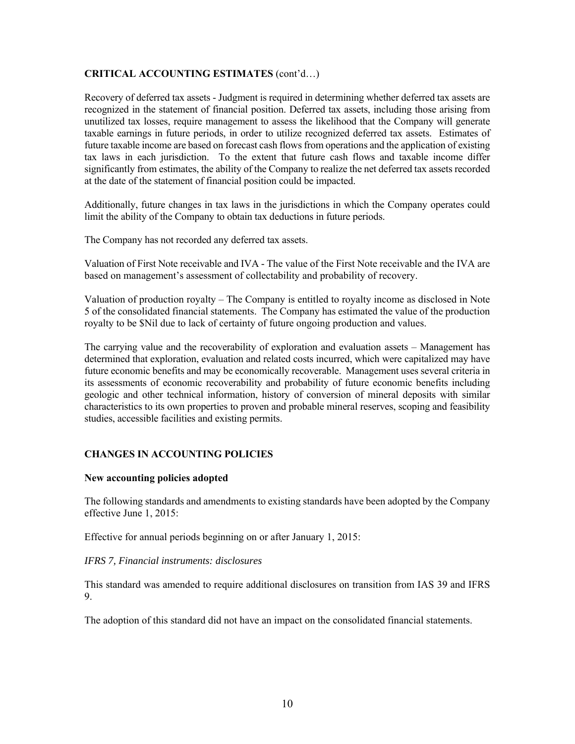## **CRITICAL ACCOUNTING ESTIMATES** (cont'd…)

Recovery of deferred tax assets - Judgment is required in determining whether deferred tax assets are recognized in the statement of financial position. Deferred tax assets, including those arising from unutilized tax losses, require management to assess the likelihood that the Company will generate taxable earnings in future periods, in order to utilize recognized deferred tax assets. Estimates of future taxable income are based on forecast cash flows from operations and the application of existing tax laws in each jurisdiction. To the extent that future cash flows and taxable income differ significantly from estimates, the ability of the Company to realize the net deferred tax assets recorded at the date of the statement of financial position could be impacted.

Additionally, future changes in tax laws in the jurisdictions in which the Company operates could limit the ability of the Company to obtain tax deductions in future periods.

The Company has not recorded any deferred tax assets.

Valuation of First Note receivable and IVA - The value of the First Note receivable and the IVA are based on management's assessment of collectability and probability of recovery.

Valuation of production royalty – The Company is entitled to royalty income as disclosed in Note 5 of the consolidated financial statements. The Company has estimated the value of the production royalty to be \$Nil due to lack of certainty of future ongoing production and values.

The carrying value and the recoverability of exploration and evaluation assets – Management has determined that exploration, evaluation and related costs incurred, which were capitalized may have future economic benefits and may be economically recoverable. Management uses several criteria in its assessments of economic recoverability and probability of future economic benefits including geologic and other technical information, history of conversion of mineral deposits with similar characteristics to its own properties to proven and probable mineral reserves, scoping and feasibility studies, accessible facilities and existing permits.

### **CHANGES IN ACCOUNTING POLICIES**

#### **New accounting policies adopted**

The following standards and amendments to existing standards have been adopted by the Company effective June 1, 2015:

Effective for annual periods beginning on or after January 1, 2015:

#### *IFRS 7, Financial instruments: disclosures*

This standard was amended to require additional disclosures on transition from IAS 39 and IFRS 9.

The adoption of this standard did not have an impact on the consolidated financial statements.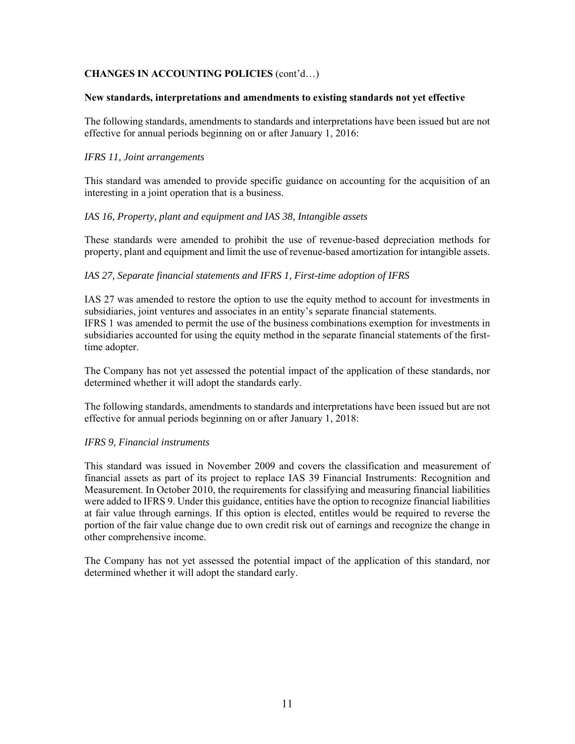## **CHANGES IN ACCOUNTING POLICIES** (cont'd…)

#### **New standards, interpretations and amendments to existing standards not yet effective**

The following standards, amendments to standards and interpretations have been issued but are not effective for annual periods beginning on or after January 1, 2016:

### *IFRS 11, Joint arrangements*

This standard was amended to provide specific guidance on accounting for the acquisition of an interesting in a joint operation that is a business.

### *IAS 16, Property, plant and equipment and IAS 38, Intangible assets*

These standards were amended to prohibit the use of revenue-based depreciation methods for property, plant and equipment and limit the use of revenue-based amortization for intangible assets.

### *IAS 27, Separate financial statements and IFRS 1, First-time adoption of IFRS*

IAS 27 was amended to restore the option to use the equity method to account for investments in subsidiaries, joint ventures and associates in an entity's separate financial statements. IFRS 1 was amended to permit the use of the business combinations exemption for investments in subsidiaries accounted for using the equity method in the separate financial statements of the firsttime adopter.

The Company has not yet assessed the potential impact of the application of these standards, nor determined whether it will adopt the standards early.

The following standards, amendments to standards and interpretations have been issued but are not effective for annual periods beginning on or after January 1, 2018:

#### *IFRS 9, Financial instruments*

This standard was issued in November 2009 and covers the classification and measurement of financial assets as part of its project to replace IAS 39 Financial Instruments: Recognition and Measurement. In October 2010, the requirements for classifying and measuring financial liabilities were added to IFRS 9. Under this guidance, entities have the option to recognize financial liabilities at fair value through earnings. If this option is elected, entitles would be required to reverse the portion of the fair value change due to own credit risk out of earnings and recognize the change in other comprehensive income.

The Company has not yet assessed the potential impact of the application of this standard, nor determined whether it will adopt the standard early.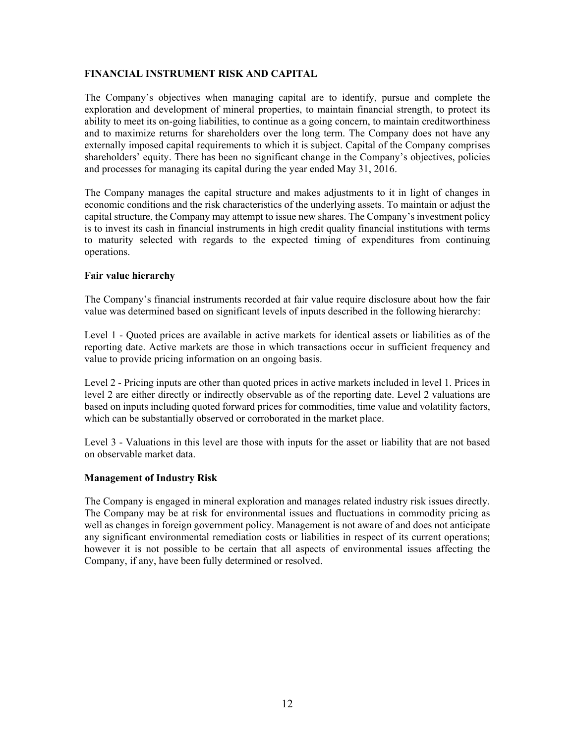### **FINANCIAL INSTRUMENT RISK AND CAPITAL**

The Company's objectives when managing capital are to identify, pursue and complete the exploration and development of mineral properties, to maintain financial strength, to protect its ability to meet its on-going liabilities, to continue as a going concern, to maintain creditworthiness and to maximize returns for shareholders over the long term. The Company does not have any externally imposed capital requirements to which it is subject. Capital of the Company comprises shareholders' equity. There has been no significant change in the Company's objectives, policies and processes for managing its capital during the year ended May 31, 2016.

The Company manages the capital structure and makes adjustments to it in light of changes in economic conditions and the risk characteristics of the underlying assets. To maintain or adjust the capital structure, the Company may attempt to issue new shares. The Company's investment policy is to invest its cash in financial instruments in high credit quality financial institutions with terms to maturity selected with regards to the expected timing of expenditures from continuing operations.

### **Fair value hierarchy**

The Company's financial instruments recorded at fair value require disclosure about how the fair value was determined based on significant levels of inputs described in the following hierarchy:

Level 1 - Quoted prices are available in active markets for identical assets or liabilities as of the reporting date. Active markets are those in which transactions occur in sufficient frequency and value to provide pricing information on an ongoing basis.

Level 2 - Pricing inputs are other than quoted prices in active markets included in level 1. Prices in level 2 are either directly or indirectly observable as of the reporting date. Level 2 valuations are based on inputs including quoted forward prices for commodities, time value and volatility factors, which can be substantially observed or corroborated in the market place.

Level 3 - Valuations in this level are those with inputs for the asset or liability that are not based on observable market data.

### **Management of Industry Risk**

The Company is engaged in mineral exploration and manages related industry risk issues directly. The Company may be at risk for environmental issues and fluctuations in commodity pricing as well as changes in foreign government policy. Management is not aware of and does not anticipate any significant environmental remediation costs or liabilities in respect of its current operations; however it is not possible to be certain that all aspects of environmental issues affecting the Company, if any, have been fully determined or resolved.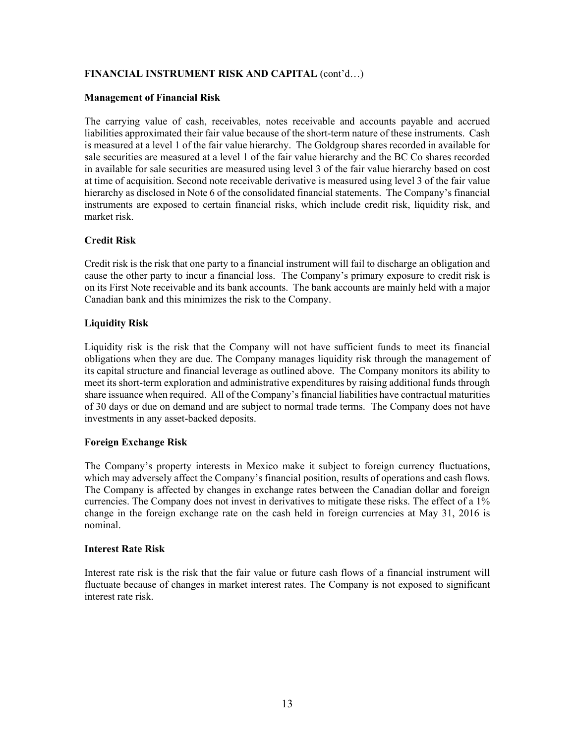## **FINANCIAL INSTRUMENT RISK AND CAPITAL** (cont'd…)

### **Management of Financial Risk**

The carrying value of cash, receivables, notes receivable and accounts payable and accrued liabilities approximated their fair value because of the short-term nature of these instruments. Cash is measured at a level 1 of the fair value hierarchy. The Goldgroup shares recorded in available for sale securities are measured at a level 1 of the fair value hierarchy and the BC Co shares recorded in available for sale securities are measured using level 3 of the fair value hierarchy based on cost at time of acquisition. Second note receivable derivative is measured using level 3 of the fair value hierarchy as disclosed in Note 6 of the consolidated financial statements. The Company's financial instruments are exposed to certain financial risks, which include credit risk, liquidity risk, and market risk.

## **Credit Risk**

Credit risk is the risk that one party to a financial instrument will fail to discharge an obligation and cause the other party to incur a financial loss. The Company's primary exposure to credit risk is on its First Note receivable and its bank accounts. The bank accounts are mainly held with a major Canadian bank and this minimizes the risk to the Company.

## **Liquidity Risk**

Liquidity risk is the risk that the Company will not have sufficient funds to meet its financial obligations when they are due. The Company manages liquidity risk through the management of its capital structure and financial leverage as outlined above. The Company monitors its ability to meet its short-term exploration and administrative expenditures by raising additional funds through share issuance when required. All of the Company's financial liabilities have contractual maturities of 30 days or due on demand and are subject to normal trade terms. The Company does not have investments in any asset-backed deposits.

### **Foreign Exchange Risk**

The Company's property interests in Mexico make it subject to foreign currency fluctuations, which may adversely affect the Company's financial position, results of operations and cash flows. The Company is affected by changes in exchange rates between the Canadian dollar and foreign currencies. The Company does not invest in derivatives to mitigate these risks. The effect of a 1% change in the foreign exchange rate on the cash held in foreign currencies at May 31, 2016 is nominal.

### **Interest Rate Risk**

Interest rate risk is the risk that the fair value or future cash flows of a financial instrument will fluctuate because of changes in market interest rates. The Company is not exposed to significant interest rate risk.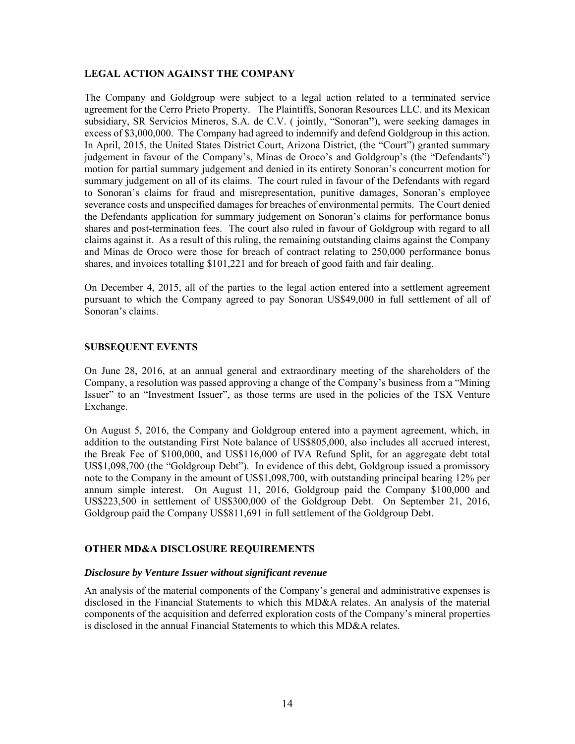### **LEGAL ACTION AGAINST THE COMPANY**

The Company and Goldgroup were subject to a legal action related to a terminated service agreement for the Cerro Prieto Property. The Plaintiffs, Sonoran Resources LLC. and its Mexican subsidiary, SR Servicios Mineros, S.A. de C.V. ( jointly, "Sonoran**"**), were seeking damages in excess of \$3,000,000. The Company had agreed to indemnify and defend Goldgroup in this action. In April, 2015, the United States District Court, Arizona District, (the "Court") granted summary judgement in favour of the Company's, Minas de Oroco's and Goldgroup's (the "Defendants") motion for partial summary judgement and denied in its entirety Sonoran's concurrent motion for summary judgement on all of its claims. The court ruled in favour of the Defendants with regard to Sonoran's claims for fraud and misrepresentation, punitive damages, Sonoran's employee severance costs and unspecified damages for breaches of environmental permits. The Court denied the Defendants application for summary judgement on Sonoran's claims for performance bonus shares and post-termination fees. The court also ruled in favour of Goldgroup with regard to all claims against it. As a result of this ruling, the remaining outstanding claims against the Company and Minas de Oroco were those for breach of contract relating to 250,000 performance bonus shares, and invoices totalling \$101,221 and for breach of good faith and fair dealing.

On December 4, 2015, all of the parties to the legal action entered into a settlement agreement pursuant to which the Company agreed to pay Sonoran US\$49,000 in full settlement of all of Sonoran's claims.

### **SUBSEQUENT EVENTS**

On June 28, 2016, at an annual general and extraordinary meeting of the shareholders of the Company, a resolution was passed approving a change of the Company's business from a "Mining Issuer" to an "Investment Issuer", as those terms are used in the policies of the TSX Venture Exchange.

On August 5, 2016, the Company and Goldgroup entered into a payment agreement, which, in addition to the outstanding First Note balance of US\$805,000, also includes all accrued interest, the Break Fee of \$100,000, and US\$116,000 of IVA Refund Split, for an aggregate debt total US\$1,098,700 (the "Goldgroup Debt"). In evidence of this debt, Goldgroup issued a promissory note to the Company in the amount of US\$1,098,700, with outstanding principal bearing 12% per annum simple interest. On August 11, 2016, Goldgroup paid the Company \$100,000 and US\$223,500 in settlement of US\$300,000 of the Goldgroup Debt. On September 21, 2016, Goldgroup paid the Company US\$811,691 in full settlement of the Goldgroup Debt.

### **OTHER MD&A DISCLOSURE REQUIREMENTS**

#### *Disclosure by Venture Issuer without significant revenue*

An analysis of the material components of the Company's general and administrative expenses is disclosed in the Financial Statements to which this MD&A relates. An analysis of the material components of the acquisition and deferred exploration costs of the Company's mineral properties is disclosed in the annual Financial Statements to which this MD&A relates.